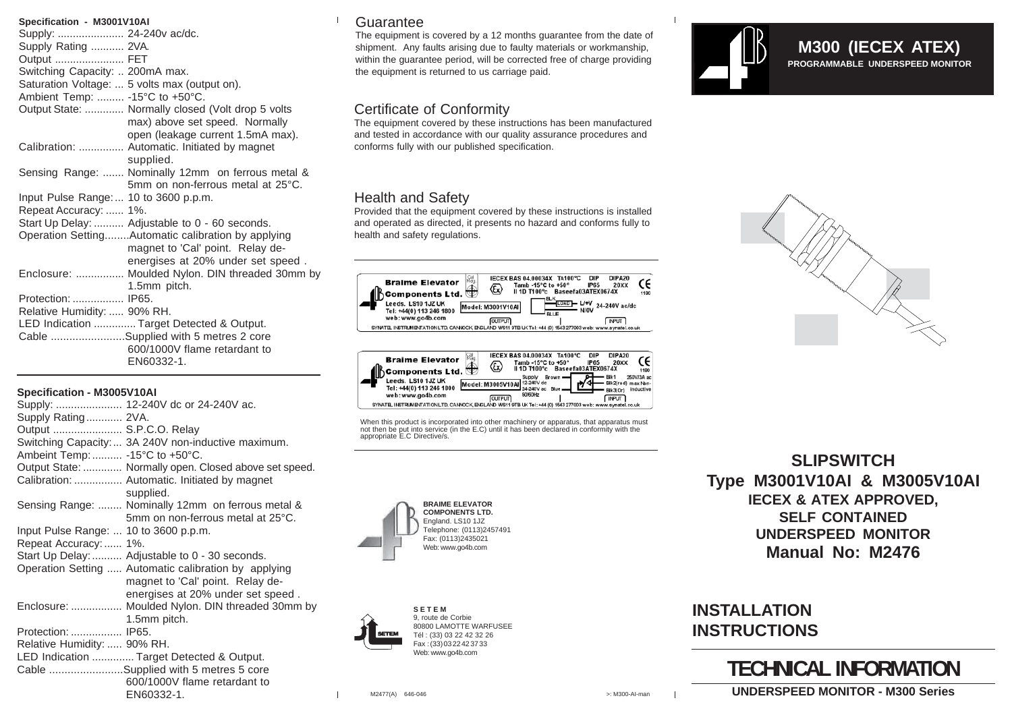| Specification - M3001V10AI                         |
|----------------------------------------------------|
| Supply:  24-240 vac/dc.                            |
| Supply Rating  2VA.                                |
| Output  FET                                        |
| Switching Capacity:  200mA max.                    |
| Saturation Voltage:  5 volts max (output on).      |
| Ambient Temp:  -15°C to +50°C.                     |
| Output State:  Normally closed (Volt drop 5 volts  |
| max) above set speed. Normally                     |
| open (leakage current 1.5mA max).                  |
| Calibration:  Automatic. Initiated by magnet       |
| supplied.                                          |
| Sensing Range:  Nominally 12mm on ferrous metal &  |
| 5mm on non-ferrous metal at 25°C.                  |
| Input Pulse Range:  10 to 3600 p.p.m.              |
| Repeat Accuracy:  1%.                              |
| Start Up Delay:  Adjustable to 0 - 60 seconds.     |
| Operation SettingAutomatic calibration by applying |
| magnet to 'Cal' point. Relay de-                   |
| energises at 20% under set speed.                  |
| Enclosure:  Moulded Nylon. DIN threaded 30mm by    |
| 1.5mm pitch.                                       |
| Protection:  IP65.                                 |
| Relative Humidity:  90% RH.                        |
| LED Indication  Target Detected & Output.          |
| Cable Supplied with 5 metres 2 core                |
| 600/1000V flame retardant to                       |
| EN60332-1.                                         |

#### **Specification - M3005V10AI**

|                                       | Supply:  12-240V dc or 24-240V ac.                                                                                            |
|---------------------------------------|-------------------------------------------------------------------------------------------------------------------------------|
| Supply Rating 2VA.                    |                                                                                                                               |
| Output  S.P.C.O. Relay                |                                                                                                                               |
|                                       | Switching Capacity:  3A 240V non-inductive maximum.                                                                           |
| Ambeint Temp:  -15°C to +50°C.        |                                                                                                                               |
|                                       | Output State:  Normally open. Closed above set speed.                                                                         |
|                                       | Calibration:  Automatic. Initiated by magnet<br>supplied.                                                                     |
|                                       | Sensing Range:  Nominally 12mm on ferrous metal &<br>5mm on non-ferrous metal at 25°C.                                        |
| Input Pulse Range:  10 to 3600 p.p.m. |                                                                                                                               |
| Repeat Accuracy:  1%.                 |                                                                                                                               |
|                                       | Start Up Delay:  Adjustable to 0 - 30 seconds.                                                                                |
|                                       | Operation Setting  Automatic calibration by applying<br>magnet to 'Cal' point. Relay de-<br>energises at 20% under set speed. |
|                                       | Enclosure:  Moulded Nylon. DIN threaded 30mm by                                                                               |
|                                       | 1.5mm pitch.                                                                                                                  |
| Protection:  IP65.                    |                                                                                                                               |
| Relative Humidity:  90% RH.           |                                                                                                                               |
|                                       | LED Indication  Target Detected & Output.                                                                                     |
|                                       | Cable Supplied with 5 metres 5 core                                                                                           |
|                                       | 600/1000V flame retardant to                                                                                                  |
|                                       | EN60332-1.                                                                                                                    |

## **Guarantee**

The equipment is covered by a 12 months quarantee from the date of shipment. Any faults arising due to faulty materials or workmanship, within the guarantee period, will be corrected free of charge providing the equipment is returned to us carriage paid.

# Certificate of Conformity

The equipment covered by these instructions has been manufactured and tested in accordance with our quality assurance procedures and conforms fully with our published specification.

# Health and Safety

Provided that the equipment covered by these instructions is installed and operated as directed, it presents no hazard and conforms fully to health and safety regulations.



When this product is incorporated into other machinery or apparatus, that apparatus must not then be put into service (in the E.C) until it has been declared in conformity with the appropriate E.C Directive/s.





**S E T E M** 9, route de Corbie 80800 LAMOTTE WARFUSEE Tél : (33) 03 22 42 32 26 Fax : (33) 03 22 42 37 33 Web: www.go4b.com

**SLIPSWITCH Type M3001V10AI & M3005V10AI IECEX & ATEX APPROVED, SELF CONTAINED UNDERSPEED MONITOR Manual No: M2476**

**PROGRAMMABLE UNDERSPEED MONITOR M300 (IECEX ATEX)**

# **INSTALLATION INSTRUCTIONS**

# **TECHNICAL INFORMATION**